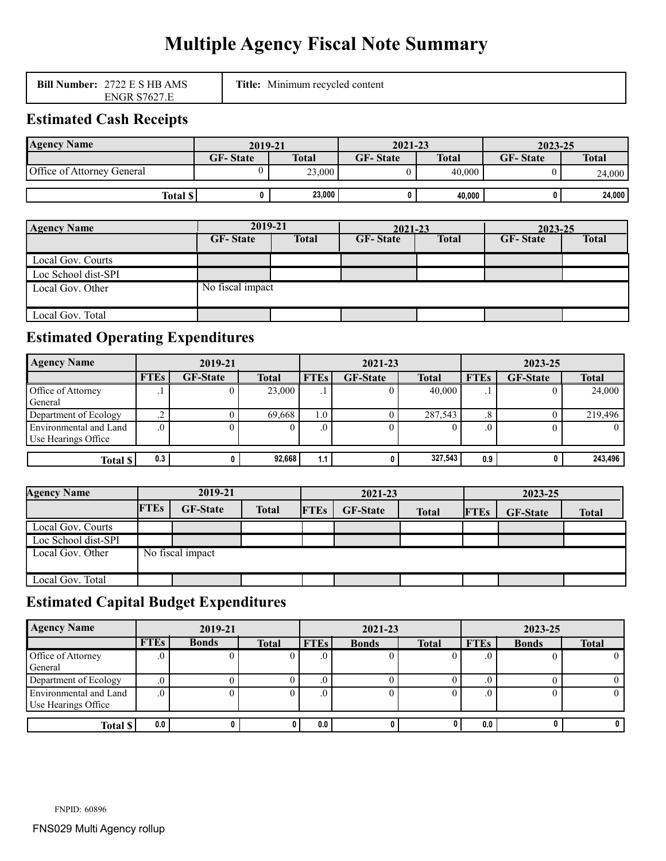# **Multiple Agency Fiscal Note Summary**

| <b>Bill Number: 2722 E S HB AMS</b> | <b>Title:</b><br>Minimum recycled content |
|-------------------------------------|-------------------------------------------|
| <b>ENGR S7627.E</b>                 |                                           |

# **Estimated Cash Receipts**

| <b>Agency Name</b>         | 2019-21         |              | $2021 - 23$     |              | 2023-25         |              |
|----------------------------|-----------------|--------------|-----------------|--------------|-----------------|--------------|
|                            | <b>GF-State</b> | <b>Total</b> | <b>GF-State</b> | <b>Total</b> | <b>GF-State</b> | <b>Total</b> |
| Office of Attorney General |                 | 23,000       |                 | 40.000       |                 | 24,000       |
|                            |                 |              |                 |              |                 |              |
| Total \$                   |                 | 23,000       |                 | 40.000       |                 | 24,000       |

| <b>Agency Name</b>  | 2019-21          |              | 2021-23         |              | 2023-25         |              |
|---------------------|------------------|--------------|-----------------|--------------|-----------------|--------------|
|                     | <b>GF-State</b>  | <b>Total</b> | <b>GF-State</b> | <b>Total</b> | <b>GF-State</b> | <b>Total</b> |
| Local Gov. Courts   |                  |              |                 |              |                 |              |
| Loc School dist-SPI |                  |              |                 |              |                 |              |
| Local Gov. Other    | No fiscal impact |              |                 |              |                 |              |
| Local Gov. Total    |                  |              |                 |              |                 |              |

# **Estimated Operating Expenditures**

| <b>Agency Name</b>                            | 2019-21     |                 |              | 2021-23     |                 |              | 2023-25         |                 |              |
|-----------------------------------------------|-------------|-----------------|--------------|-------------|-----------------|--------------|-----------------|-----------------|--------------|
|                                               | <b>FTEs</b> | <b>GF-State</b> | <b>Total</b> | <b>FTEs</b> | <b>GF-State</b> | <b>Total</b> | <b>FTEs</b>     | <b>GF-State</b> | <b>Total</b> |
| Office of Attorney<br>General                 | . .         |                 | 23,000       | . .         |                 | 40,000       |                 |                 | 24,000       |
| Department of Ecology                         | -4          |                 | 69.668       | 1.0         |                 | 287,543      | $\cdot^{\circ}$ |                 | 219,496      |
| Environmental and Land<br>Use Hearings Office | .v          |                 |              |             |                 |              |                 |                 |              |
| <b>Total \$</b>                               | 0.3         |                 | 92,668       | 1.1         |                 | 327,543      | 0.9             |                 | 243,496      |

| <b>Agency Name</b>  | 2019-21     |                  |              | 2021-23     |                 |              | 2023-25     |                 |              |
|---------------------|-------------|------------------|--------------|-------------|-----------------|--------------|-------------|-----------------|--------------|
|                     | <b>FTEs</b> | <b>GF-State</b>  | <b>Total</b> | <b>FTEs</b> | <b>GF-State</b> | <b>Total</b> | <b>FTEs</b> | <b>GF-State</b> | <b>Total</b> |
| Local Gov. Courts   |             |                  |              |             |                 |              |             |                 |              |
| Loc School dist-SPI |             |                  |              |             |                 |              |             |                 |              |
| Local Gov. Other    |             | No fiscal impact |              |             |                 |              |             |                 |              |
| Local Gov. Total    |             |                  |              |             |                 |              |             |                 |              |

# **Estimated Capital Budget Expenditures**

| <b>Agency Name</b>                            | 2019-21     |              |              |             | 2021-23      |              |             | 2023-25      |              |  |
|-----------------------------------------------|-------------|--------------|--------------|-------------|--------------|--------------|-------------|--------------|--------------|--|
|                                               | <b>FTEs</b> | <b>Bonds</b> | <b>Total</b> | <b>FTEs</b> | <b>Bonds</b> | <b>Total</b> | <b>FTEs</b> | <b>Bonds</b> | <b>Total</b> |  |
| Office of Attorney<br>General                 |             |              |              |             |              |              |             |              |              |  |
| Department of Ecology                         |             |              |              |             |              |              |             |              |              |  |
| Environmental and Land<br>Use Hearings Office |             |              |              |             |              |              |             |              |              |  |
| Total \$                                      | 0.0         |              |              | 0.0         |              |              | 0.0         |              | $\mathbf{u}$ |  |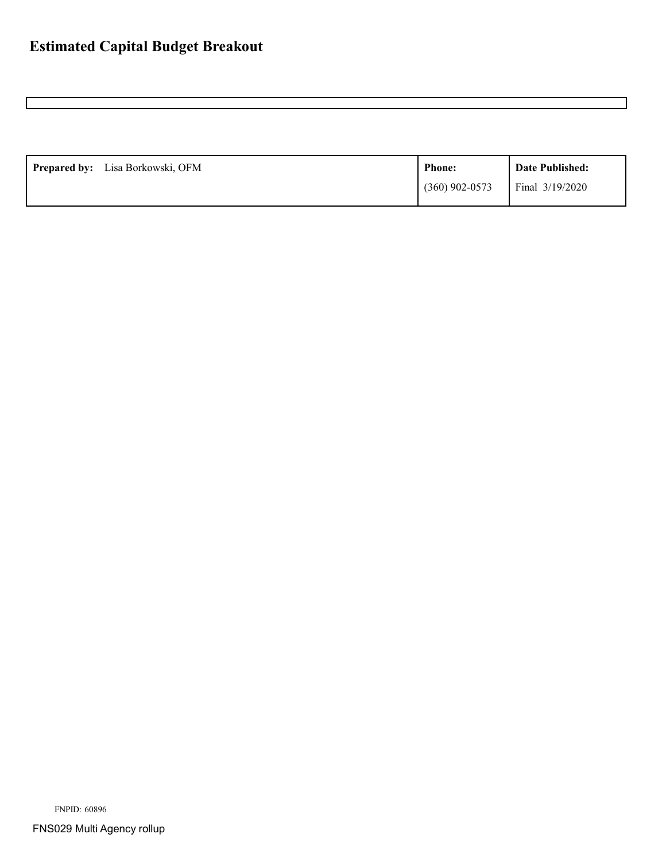| Prepared by: Lisa Borkowski, OFM | <b>Phone:</b>    | Date Published: |
|----------------------------------|------------------|-----------------|
|                                  | $(360)$ 902-0573 | Final 3/19/2020 |

FNPID: 60896

FNS029 Multi Agency rollup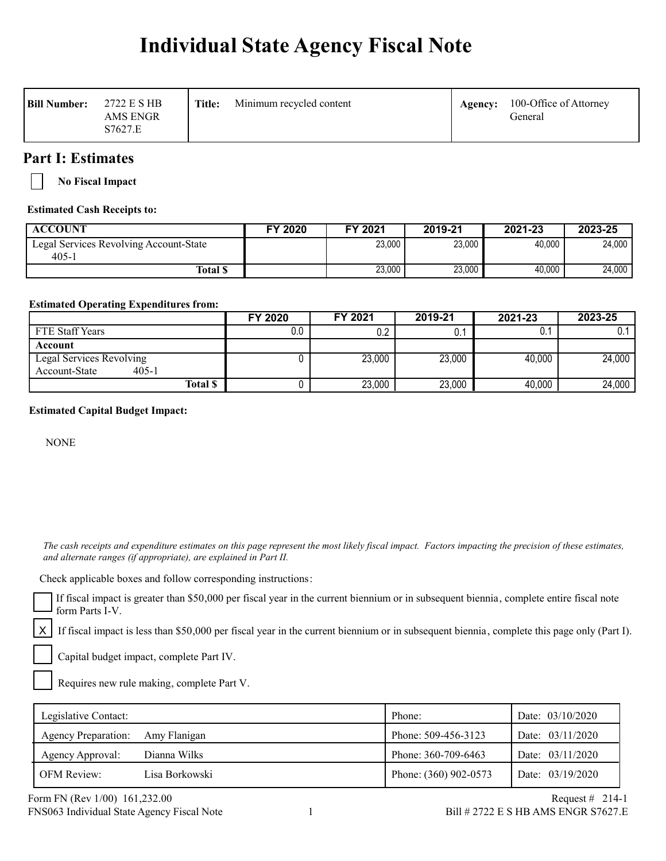# **Individual State Agency Fiscal Note**

| <b>Bill Number:</b> | 2722 E S HB<br><b>AMS ENGR</b><br>S7627.E | Title: | Minimum recycled content | Agency: | 100-Office of Attorney<br>General |
|---------------------|-------------------------------------------|--------|--------------------------|---------|-----------------------------------|
|---------------------|-------------------------------------------|--------|--------------------------|---------|-----------------------------------|

## **Part I: Estimates**

**No Fiscal Impact**

#### **Estimated Cash Receipts to:**

| <b>ACCOUNT</b>                         | FY 2020 | FY 2021 | 2019-21 | 2021-23 | 2023-25 |
|----------------------------------------|---------|---------|---------|---------|---------|
| Legal Services Revolving Account-State |         | 23.000  | 23,000  | 40.000  | 24.000  |
| $405 - 1$                              |         |         |         |         |         |
| <b>Total S</b>                         |         | 23,000  | 23,000  | 40.000  | 24,000  |

#### **Estimated Operating Expenditures from:**

|                            | FY 2020 | FY 2021 | 2019-21 | 2021-23             | 2023-25 |
|----------------------------|---------|---------|---------|---------------------|---------|
| FTE Staff Years            | 0.0     | 0.2     |         |                     |         |
| Account                    |         |         |         |                     |         |
| Legal Services Revolving   |         | 23,000  | 23,000  | 40,000              | 24,000  |
| $405 - 1$<br>Account-State |         |         |         |                     |         |
| <b>Total \$</b>            |         | 23,000  | 23,000  | $\overline{40,000}$ | 24,000  |

#### **Estimated Capital Budget Impact:**

**NONE** 

 *The cash receipts and expenditure estimates on this page represent the most likely fiscal impact. Factors impacting the precision of these estimates, and alternate ranges (if appropriate), are explained in Part II.* 

Check applicable boxes and follow corresponding instructions:

If fiscal impact is greater than \$50,000 per fiscal year in the current biennium or in subsequent biennia, complete entire fiscal note form Parts I-V.

If fiscal impact is less than \$50,000 per fiscal year in the current biennium or in subsequent biennia, complete this page only (Part I).

Capital budget impact, complete Part IV.

Requires new rule making, complete Part V.

| Legislative Contact:       |                | Phone:                | Date: 03/10/2020   |
|----------------------------|----------------|-----------------------|--------------------|
| <b>Agency Preparation:</b> | Amy Flanigan   | Phone: 509-456-3123   | Date: $03/11/2020$ |
| Agency Approval:           | Dianna Wilks   | Phone: 360-709-6463   | Date: $03/11/2020$ |
| <b>OFM Review:</b>         | Lisa Borkowski | Phone: (360) 902-0573 | Date: 03/19/2020   |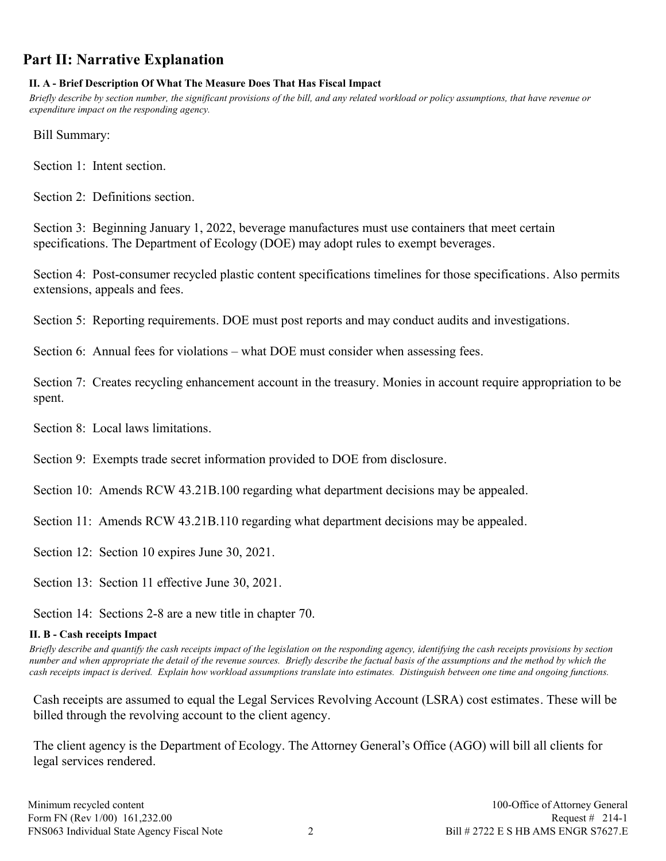# **Part II: Narrative Explanation**

## **II. A - Brief Description Of What The Measure Does That Has Fiscal Impact**

*Briefly describe by section number, the significant provisions of the bill, and any related workload or policy assumptions, that have revenue or expenditure impact on the responding agency.*

Bill Summary:

Section 1: Intent section.

Section 2: Definitions section.

Section 3: Beginning January 1, 2022, beverage manufactures must use containers that meet certain specifications. The Department of Ecology (DOE) may adopt rules to exempt beverages.

Section 4: Post-consumer recycled plastic content specifications timelines for those specifications. Also permits extensions, appeals and fees.

Section 5: Reporting requirements. DOE must post reports and may conduct audits and investigations.

Section 6: Annual fees for violations – what DOE must consider when assessing fees.

Section 7: Creates recycling enhancement account in the treasury. Monies in account require appropriation to be spent.

- Section 8: Local laws limitations.
- Section 9: Exempts trade secret information provided to DOE from disclosure.
- Section 10: Amends RCW 43.21B.100 regarding what department decisions may be appealed.
- Section 11: Amends RCW 43.21B.110 regarding what department decisions may be appealed.
- Section 12: Section 10 expires June 30, 2021.
- Section 13: Section 11 effective June 30, 2021.

Section 14: Sections 2-8 are a new title in chapter 70.

## **II. B - Cash receipts Impact**

*Briefly describe and quantify the cash receipts impact of the legislation on the responding agency, identifying the cash receipts provisions by section number and when appropriate the detail of the revenue sources. Briefly describe the factual basis of the assumptions and the method by which the cash receipts impact is derived. Explain how workload assumptions translate into estimates. Distinguish between one time and ongoing functions.*

Cash receipts are assumed to equal the Legal Services Revolving Account (LSRA) cost estimates. These will be billed through the revolving account to the client agency.

The client agency is the Department of Ecology. The Attorney General's Office (AGO) will bill all clients for legal services rendered.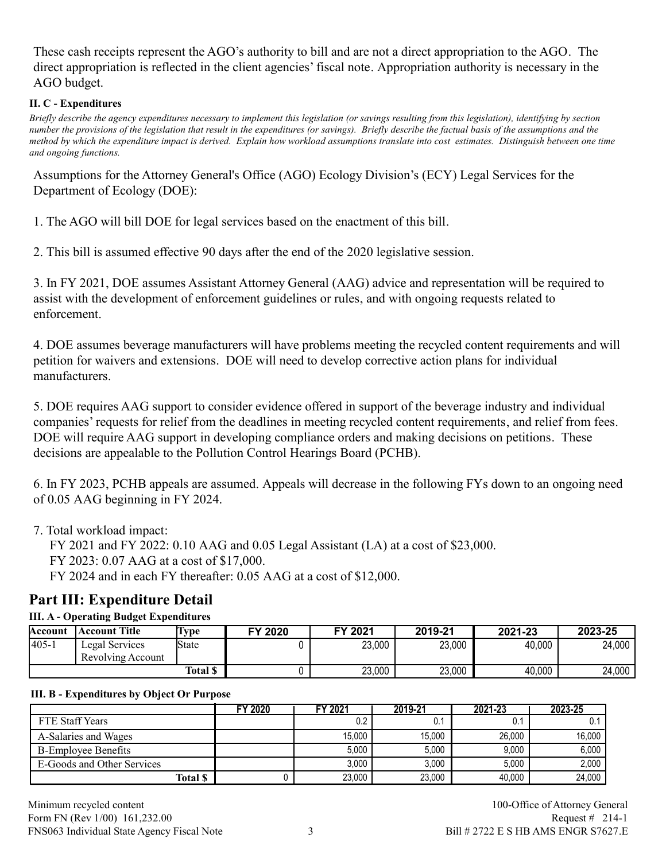These cash receipts represent the AGO's authority to bill and are not a direct appropriation to the AGO. The direct appropriation is reflected in the client agencies' fiscal note. Appropriation authority is necessary in the AGO budget.

#### **II. C - Expenditures**

*Briefly describe the agency expenditures necessary to implement this legislation (or savings resulting from this legislation), identifying by section number the provisions of the legislation that result in the expenditures (or savings). Briefly describe the factual basis of the assumptions and the method by which the expenditure impact is derived. Explain how workload assumptions translate into cost estimates. Distinguish between one time and ongoing functions.*

Assumptions for the Attorney General's Office (AGO) Ecology Division's (ECY) Legal Services for the Department of Ecology (DOE):

1. The AGO will bill DOE for legal services based on the enactment of this bill.

2. This bill is assumed effective 90 days after the end of the 2020 legislative session.

3. In FY 2021, DOE assumes Assistant Attorney General (AAG) advice and representation will be required to assist with the development of enforcement guidelines or rules, and with ongoing requests related to enforcement.

4. DOE assumes beverage manufacturers will have problems meeting the recycled content requirements and will petition for waivers and extensions. DOE will need to develop corrective action plans for individual manufacturers.

5. DOE requires AAG support to consider evidence offered in support of the beverage industry and individual companies' requests for relief from the deadlines in meeting recycled content requirements, and relief from fees. DOE will require AAG support in developing compliance orders and making decisions on petitions. These decisions are appealable to the Pollution Control Hearings Board (PCHB).

6. In FY 2023, PCHB appeals are assumed. Appeals will decrease in the following FYs down to an ongoing need of 0.05 AAG beginning in FY 2024.

7. Total workload impact:

FY 2021 and FY 2022: 0.10 AAG and 0.05 Legal Assistant (LA) at a cost of \$23,000.

FY 2023: 0.07 AAG at a cost of \$17,000.

FY 2024 and in each FY thereafter: 0.05 AAG at a cost of \$12,000.

# **Part III: Expenditure Detail**

## **III. A - Operating Budget Expenditures**

| Account  | <b>Account Title</b>                | Lvpe            | FY 2020 | FY 2021 | 2019-21 | 2021-23 | 2023-25 |
|----------|-------------------------------------|-----------------|---------|---------|---------|---------|---------|
| $ 405 -$ | Legal Services<br>Revolving Account | <b>State</b>    |         | 23,000  | 23,000  | 40,000  | 24,000  |
|          |                                     | <b>Total \$</b> |         | 23,000  | 23,000  | 40,000  | 24,000  |

#### **III. B - Expenditures by Object Or Purpose**

|                            | FY 2020 | <b>FY 2021</b> | 2019-21 | 2021-23 | 2023-25 |
|----------------------------|---------|----------------|---------|---------|---------|
| FTE Staff Years            |         | 0.2            | v.      |         |         |
| A-Salaries and Wages       |         | 15.000         | 15.000  | 26,000  | 16.000  |
| <b>B-Employee Benefits</b> |         | 5,000          | 5,000   | 9,000   | 6,000   |
| E-Goods and Other Services |         | 3,000          | 3.000   | 5.000   | 2,000   |
| <b>Total \$</b>            |         | 23.000         | 23,000  | 40.000  | 24,000  |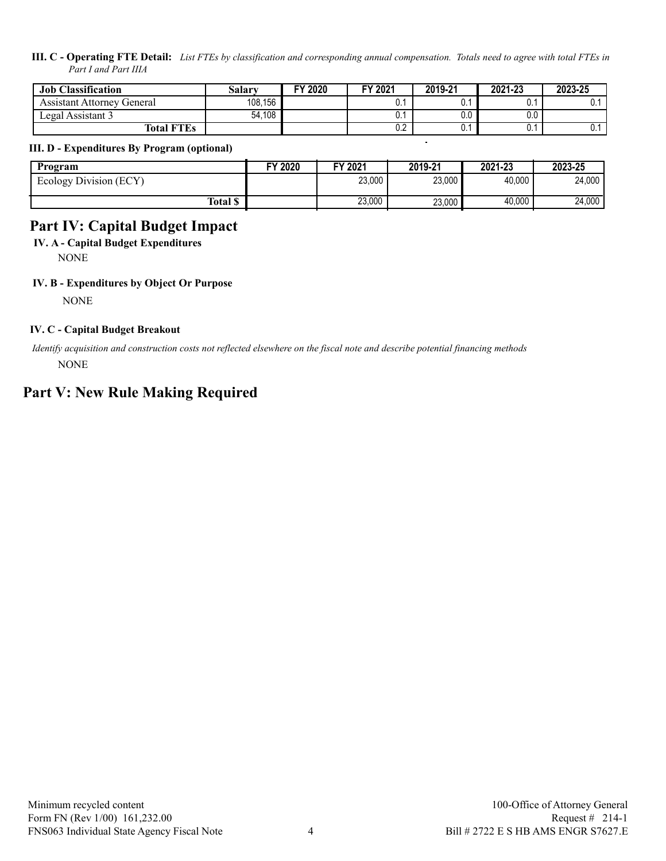#### **III. C - Operating FTE Detail:** *List FTEs by classification and corresponding annual compensation. Totals need to agree with total FTEs in Part I and Part IIIA*

| <b>Job Classification</b>  | Salarv  | FY 2020 | FY 2021 | 2019-21 | 2021-23 | 2023-25 |
|----------------------------|---------|---------|---------|---------|---------|---------|
| Assistant Attorney General | 108,156 |         | v.      | υ.,     | v.      |         |
| Legal Assistant 3          | 54,108  |         | υ.      | 0.0     | v.v     |         |
| <b>Total FTEs</b>          |         |         | 0.2     | v.      | υ.      |         |

#### **III. D - Expenditures By Program (optional)**

| Program                | FY 2020 | FY 2021 | 2019-21 | 2021-23 | 2023-25 |
|------------------------|---------|---------|---------|---------|---------|
| Ecology Division (ECY) |         | 23,000  | 23,000  | 40.000  | 24,000  |
| Total \$               |         | 23,000  | 23,000  | 40,000  | 24,000  |

# **Part IV: Capital Budget Impact**

**IV. A - Capital Budget Expenditures**

NONE

#### **IV. B - Expenditures by Object Or Purpose**

**NONE** 

#### **IV. C - Capital Budget Breakout**

 *Identify acquisition and construction costs not reflected elsewhere on the fiscal note and describe potential financing methods* NONE

## **Part V: New Rule Making Required**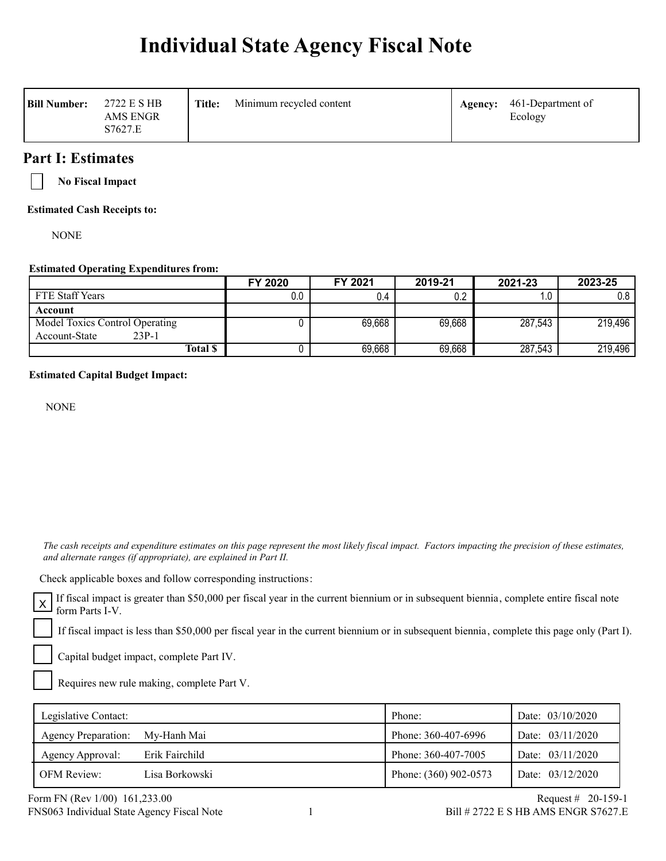# **Individual State Agency Fiscal Note**

| <b>Bill Number:</b><br>2722 E S HB<br>AMS ENGR<br>S7627.E | <b>Title:</b> | Minimum recycled content | Agency: | 461-Department of<br>Ecology |
|-----------------------------------------------------------|---------------|--------------------------|---------|------------------------------|
|-----------------------------------------------------------|---------------|--------------------------|---------|------------------------------|

## **Part I: Estimates**

**No Fiscal Impact**

**Estimated Cash Receipts to:**

**NONE** 

#### **Estimated Operating Expenditures from:**

|                                | FY 2020 | FY 2021 | 2019-21 | 2021-23 | 2023-25 |
|--------------------------------|---------|---------|---------|---------|---------|
| <b>FTE Staff Years</b>         | 0.0     | 0.4     | 0.2     | 1.0     | 0.8     |
| Account                        |         |         |         |         |         |
| Model Toxics Control Operating |         | 69,668  | 69,668  | 287,543 | 219,496 |
| $23P-1$<br>Account-State       |         |         |         |         |         |
| <b>Total \$</b>                |         | 69,668  | 69,668  | 287,543 | 219,496 |

#### **Estimated Capital Budget Impact:**

NONE

 *The cash receipts and expenditure estimates on this page represent the most likely fiscal impact. Factors impacting the precision of these estimates, and alternate ranges (if appropriate), are explained in Part II.* 

Check applicable boxes and follow corresponding instructions:

If fiscal impact is greater than \$50,000 per fiscal year in the current biennium or in subsequent biennia, complete entire fiscal note form Parts I-V.

If fiscal impact is less than \$50,000 per fiscal year in the current biennium or in subsequent biennia, complete this page only (Part I).

Capital budget impact, complete Part IV.

Requires new rule making, complete Part V.

| Legislative Contact:            |                | Phone:                | Date: $03/10/2020$ |
|---------------------------------|----------------|-----------------------|--------------------|
| Agency Preparation: My-Hanh Mai |                | Phone: 360-407-6996   | Date: $03/11/2020$ |
| Agency Approval:                | Erik Fairchild | Phone: 360-407-7005   | Date: $03/11/2020$ |
| <b>OFM Review:</b>              | Lisa Borkowski | Phone: (360) 902-0573 | Date: 03/12/2020   |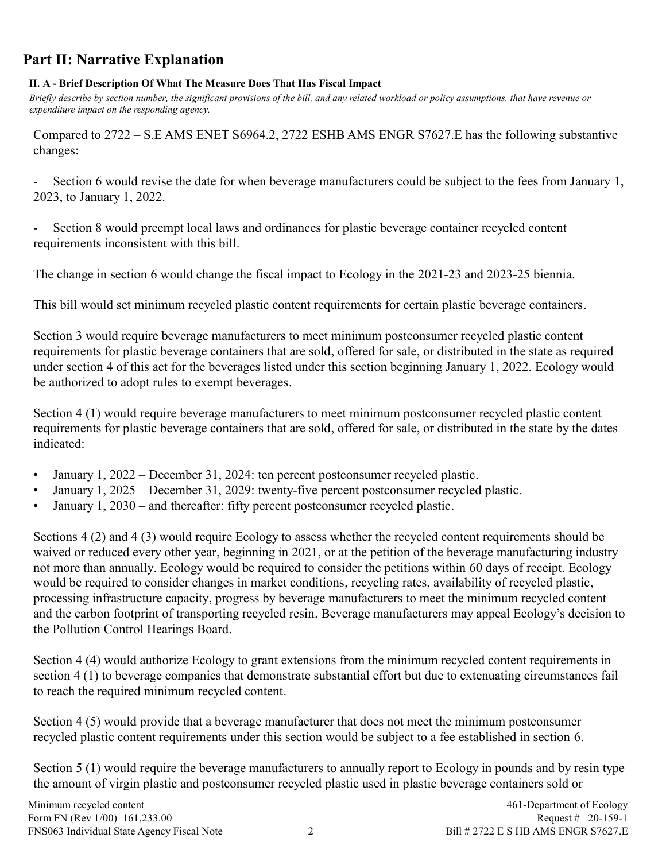# **Part II: Narrative Explanation**

#### **II. A - Brief Description Of What The Measure Does That Has Fiscal Impact**

*Briefly describe by section number, the significant provisions of the bill, and any related workload or policy assumptions, that have revenue or expenditure impact on the responding agency.*

Compared to 2722 – S.E AMS ENET S6964.2, 2722 ESHB AMS ENGR S7627.E has the following substantive changes:

Section 6 would revise the date for when beverage manufacturers could be subject to the fees from January 1, 2023, to January 1, 2022.

Section 8 would preempt local laws and ordinances for plastic beverage container recycled content requirements inconsistent with this bill.

The change in section 6 would change the fiscal impact to Ecology in the 2021-23 and 2023-25 biennia.

This bill would set minimum recycled plastic content requirements for certain plastic beverage containers.

Section 3 would require beverage manufacturers to meet minimum postconsumer recycled plastic content requirements for plastic beverage containers that are sold, offered for sale, or distributed in the state as required under section 4 of this act for the beverages listed under this section beginning January 1, 2022. Ecology would be authorized to adopt rules to exempt beverages.

Section 4 (1) would require beverage manufacturers to meet minimum postconsumer recycled plastic content requirements for plastic beverage containers that are sold, offered for sale, or distributed in the state by the dates indicated:

- January 1, 2022 December 31, 2024: ten percent postconsumer recycled plastic.
- January 1, 2025 December 31, 2029: twenty-five percent postconsumer recycled plastic.
- January 1, 2030 and thereafter: fifty percent postconsumer recycled plastic.

Sections 4 (2) and 4 (3) would require Ecology to assess whether the recycled content requirements should be waived or reduced every other year, beginning in 2021, or at the petition of the beverage manufacturing industry not more than annually. Ecology would be required to consider the petitions within 60 days of receipt. Ecology would be required to consider changes in market conditions, recycling rates, availability of recycled plastic, processing infrastructure capacity, progress by beverage manufacturers to meet the minimum recycled content and the carbon footprint of transporting recycled resin. Beverage manufacturers may appeal Ecology's decision to the Pollution Control Hearings Board.

Section 4 (4) would authorize Ecology to grant extensions from the minimum recycled content requirements in section 4 (1) to beverage companies that demonstrate substantial effort but due to extenuating circumstances fail to reach the required minimum recycled content.

Section 4 (5) would provide that a beverage manufacturer that does not meet the minimum postconsumer recycled plastic content requirements under this section would be subject to a fee established in section 6.

Section 5 (1) would require the beverage manufacturers to annually report to Ecology in pounds and by resin type the amount of virgin plastic and postconsumer recycled plastic used in plastic beverage containers sold or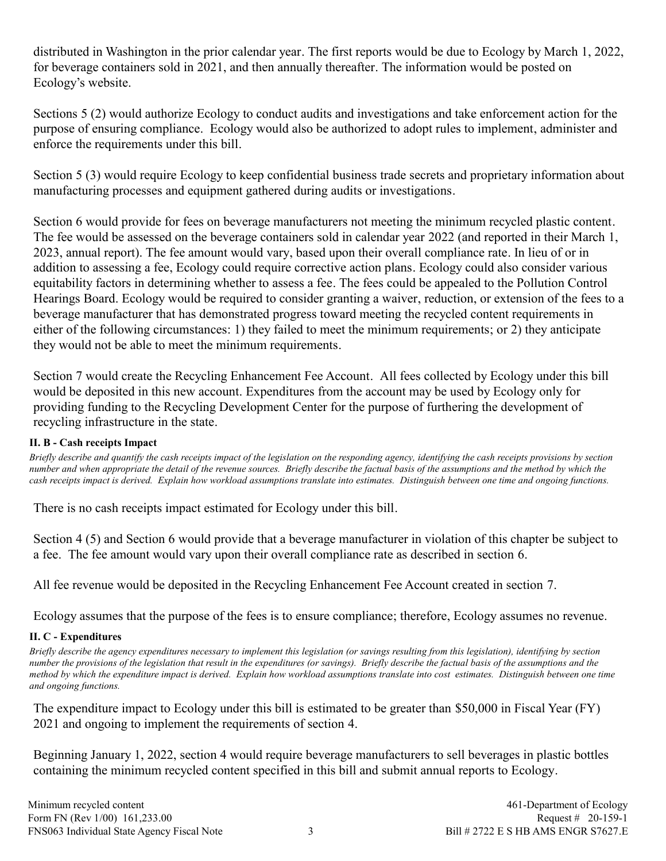distributed in Washington in the prior calendar year. The first reports would be due to Ecology by March 1, 2022, for beverage containers sold in 2021, and then annually thereafter. The information would be posted on Ecology's website.

Sections 5 (2) would authorize Ecology to conduct audits and investigations and take enforcement action for the purpose of ensuring compliance. Ecology would also be authorized to adopt rules to implement, administer and enforce the requirements under this bill.

Section 5 (3) would require Ecology to keep confidential business trade secrets and proprietary information about manufacturing processes and equipment gathered during audits or investigations.

Section 6 would provide for fees on beverage manufacturers not meeting the minimum recycled plastic content. The fee would be assessed on the beverage containers sold in calendar year 2022 (and reported in their March 1, 2023, annual report). The fee amount would vary, based upon their overall compliance rate. In lieu of or in addition to assessing a fee, Ecology could require corrective action plans. Ecology could also consider various equitability factors in determining whether to assess a fee. The fees could be appealed to the Pollution Control Hearings Board. Ecology would be required to consider granting a waiver, reduction, or extension of the fees to a beverage manufacturer that has demonstrated progress toward meeting the recycled content requirements in either of the following circumstances: 1) they failed to meet the minimum requirements; or 2) they anticipate they would not be able to meet the minimum requirements.

Section 7 would create the Recycling Enhancement Fee Account. All fees collected by Ecology under this bill would be deposited in this new account. Expenditures from the account may be used by Ecology only for providing funding to the Recycling Development Center for the purpose of furthering the development of recycling infrastructure in the state.

#### **II. B - Cash receipts Impact**

*Briefly describe and quantify the cash receipts impact of the legislation on the responding agency, identifying the cash receipts provisions by section number and when appropriate the detail of the revenue sources. Briefly describe the factual basis of the assumptions and the method by which the cash receipts impact is derived. Explain how workload assumptions translate into estimates. Distinguish between one time and ongoing functions.*

There is no cash receipts impact estimated for Ecology under this bill.

Section 4 (5) and Section 6 would provide that a beverage manufacturer in violation of this chapter be subject to a fee. The fee amount would vary upon their overall compliance rate as described in section 6.

All fee revenue would be deposited in the Recycling Enhancement Fee Account created in section 7.

Ecology assumes that the purpose of the fees is to ensure compliance; therefore, Ecology assumes no revenue.

## **II. C - Expenditures**

*Briefly describe the agency expenditures necessary to implement this legislation (or savings resulting from this legislation), identifying by section number the provisions of the legislation that result in the expenditures (or savings). Briefly describe the factual basis of the assumptions and the method by which the expenditure impact is derived. Explain how workload assumptions translate into cost estimates. Distinguish between one time and ongoing functions.*

The expenditure impact to Ecology under this bill is estimated to be greater than \$50,000 in Fiscal Year (FY) 2021 and ongoing to implement the requirements of section 4.

Beginning January 1, 2022, section 4 would require beverage manufacturers to sell beverages in plastic bottles containing the minimum recycled content specified in this bill and submit annual reports to Ecology.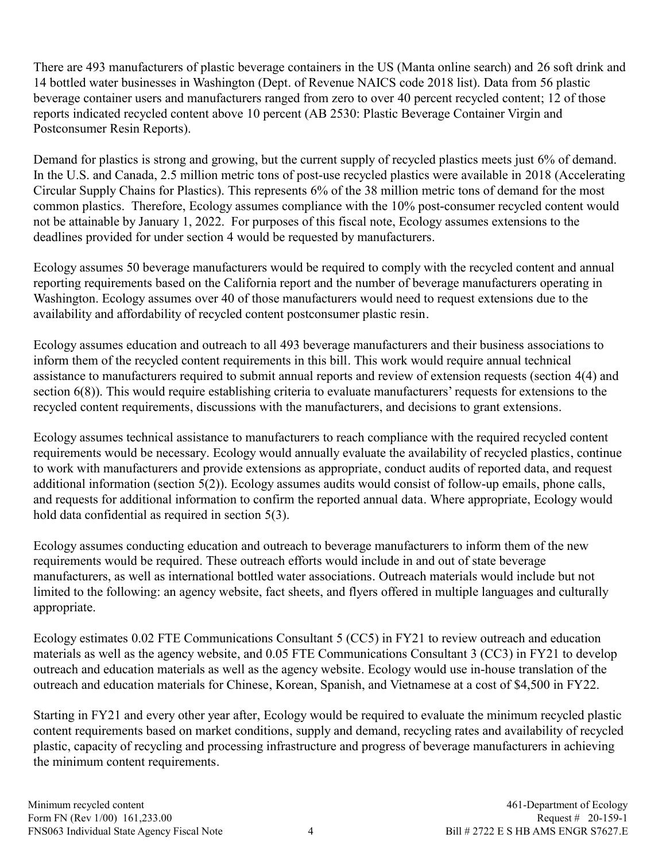There are 493 manufacturers of plastic beverage containers in the US (Manta online search) and 26 soft drink and 14 bottled water businesses in Washington (Dept. of Revenue NAICS code 2018 list). Data from 56 plastic beverage container users and manufacturers ranged from zero to over 40 percent recycled content; 12 of those reports indicated recycled content above 10 percent (AB 2530: Plastic Beverage Container Virgin and Postconsumer Resin Reports).

Demand for plastics is strong and growing, but the current supply of recycled plastics meets just 6% of demand. In the U.S. and Canada, 2.5 million metric tons of post-use recycled plastics were available in 2018 (Accelerating Circular Supply Chains for Plastics). This represents 6% of the 38 million metric tons of demand for the most common plastics. Therefore, Ecology assumes compliance with the 10% post-consumer recycled content would not be attainable by January 1, 2022. For purposes of this fiscal note, Ecology assumes extensions to the deadlines provided for under section 4 would be requested by manufacturers.

Ecology assumes 50 beverage manufacturers would be required to comply with the recycled content and annual reporting requirements based on the California report and the number of beverage manufacturers operating in Washington. Ecology assumes over 40 of those manufacturers would need to request extensions due to the availability and affordability of recycled content postconsumer plastic resin.

Ecology assumes education and outreach to all 493 beverage manufacturers and their business associations to inform them of the recycled content requirements in this bill. This work would require annual technical assistance to manufacturers required to submit annual reports and review of extension requests (section 4(4) and section 6(8)). This would require establishing criteria to evaluate manufacturers' requests for extensions to the recycled content requirements, discussions with the manufacturers, and decisions to grant extensions.

Ecology assumes technical assistance to manufacturers to reach compliance with the required recycled content requirements would be necessary. Ecology would annually evaluate the availability of recycled plastics, continue to work with manufacturers and provide extensions as appropriate, conduct audits of reported data, and request additional information (section 5(2)). Ecology assumes audits would consist of follow-up emails, phone calls, and requests for additional information to confirm the reported annual data. Where appropriate, Ecology would hold data confidential as required in section 5(3).

Ecology assumes conducting education and outreach to beverage manufacturers to inform them of the new requirements would be required. These outreach efforts would include in and out of state beverage manufacturers, as well as international bottled water associations. Outreach materials would include but not limited to the following: an agency website, fact sheets, and flyers offered in multiple languages and culturally appropriate.

Ecology estimates 0.02 FTE Communications Consultant 5 (CC5) in FY21 to review outreach and education materials as well as the agency website, and 0.05 FTE Communications Consultant 3 (CC3) in FY21 to develop outreach and education materials as well as the agency website. Ecology would use in-house translation of the outreach and education materials for Chinese, Korean, Spanish, and Vietnamese at a cost of \$4,500 in FY22.

Starting in FY21 and every other year after, Ecology would be required to evaluate the minimum recycled plastic content requirements based on market conditions, supply and demand, recycling rates and availability of recycled plastic, capacity of recycling and processing infrastructure and progress of beverage manufacturers in achieving the minimum content requirements.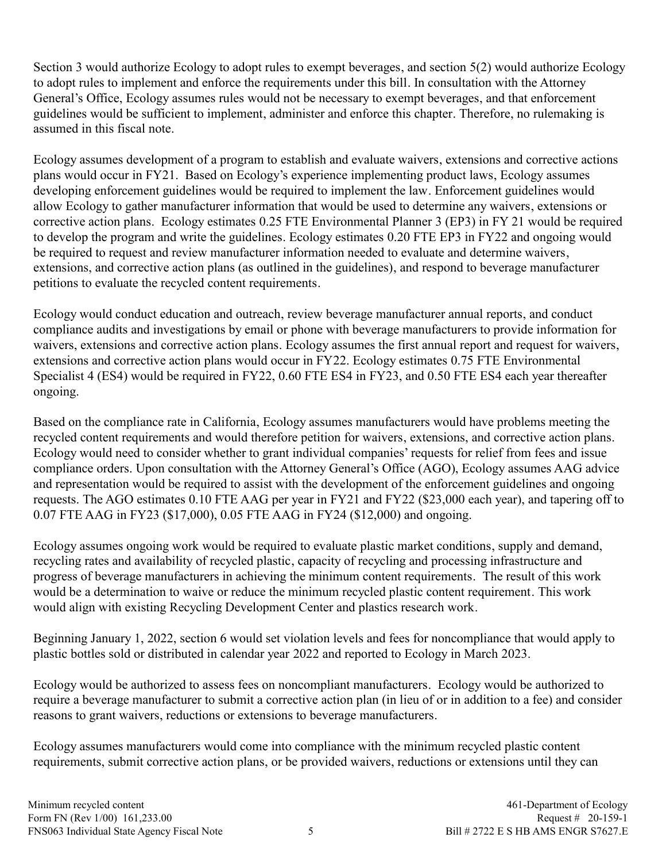Section 3 would authorize Ecology to adopt rules to exempt beverages, and section 5(2) would authorize Ecology to adopt rules to implement and enforce the requirements under this bill. In consultation with the Attorney General's Office, Ecology assumes rules would not be necessary to exempt beverages, and that enforcement guidelines would be sufficient to implement, administer and enforce this chapter. Therefore, no rulemaking is assumed in this fiscal note.

Ecology assumes development of a program to establish and evaluate waivers, extensions and corrective actions plans would occur in FY21. Based on Ecology's experience implementing product laws, Ecology assumes developing enforcement guidelines would be required to implement the law. Enforcement guidelines would allow Ecology to gather manufacturer information that would be used to determine any waivers, extensions or corrective action plans. Ecology estimates 0.25 FTE Environmental Planner 3 (EP3) in FY 21 would be required to develop the program and write the guidelines. Ecology estimates 0.20 FTE EP3 in FY22 and ongoing would be required to request and review manufacturer information needed to evaluate and determine waivers, extensions, and corrective action plans (as outlined in the guidelines), and respond to beverage manufacturer petitions to evaluate the recycled content requirements.

Ecology would conduct education and outreach, review beverage manufacturer annual reports, and conduct compliance audits and investigations by email or phone with beverage manufacturers to provide information for waivers, extensions and corrective action plans. Ecology assumes the first annual report and request for waivers, extensions and corrective action plans would occur in FY22. Ecology estimates 0.75 FTE Environmental Specialist 4 (ES4) would be required in FY22, 0.60 FTE ES4 in FY23, and 0.50 FTE ES4 each year thereafter ongoing.

Based on the compliance rate in California, Ecology assumes manufacturers would have problems meeting the recycled content requirements and would therefore petition for waivers, extensions, and corrective action plans. Ecology would need to consider whether to grant individual companies' requests for relief from fees and issue compliance orders. Upon consultation with the Attorney General's Office (AGO), Ecology assumes AAG advice and representation would be required to assist with the development of the enforcement guidelines and ongoing requests. The AGO estimates 0.10 FTE AAG per year in FY21 and FY22 (\$23,000 each year), and tapering off to 0.07 FTE AAG in FY23 (\$17,000), 0.05 FTE AAG in FY24 (\$12,000) and ongoing.

Ecology assumes ongoing work would be required to evaluate plastic market conditions, supply and demand, recycling rates and availability of recycled plastic, capacity of recycling and processing infrastructure and progress of beverage manufacturers in achieving the minimum content requirements. The result of this work would be a determination to waive or reduce the minimum recycled plastic content requirement. This work would align with existing Recycling Development Center and plastics research work.

Beginning January 1, 2022, section 6 would set violation levels and fees for noncompliance that would apply to plastic bottles sold or distributed in calendar year 2022 and reported to Ecology in March 2023.

Ecology would be authorized to assess fees on noncompliant manufacturers. Ecology would be authorized to require a beverage manufacturer to submit a corrective action plan (in lieu of or in addition to a fee) and consider reasons to grant waivers, reductions or extensions to beverage manufacturers.

Ecology assumes manufacturers would come into compliance with the minimum recycled plastic content requirements, submit corrective action plans, or be provided waivers, reductions or extensions until they can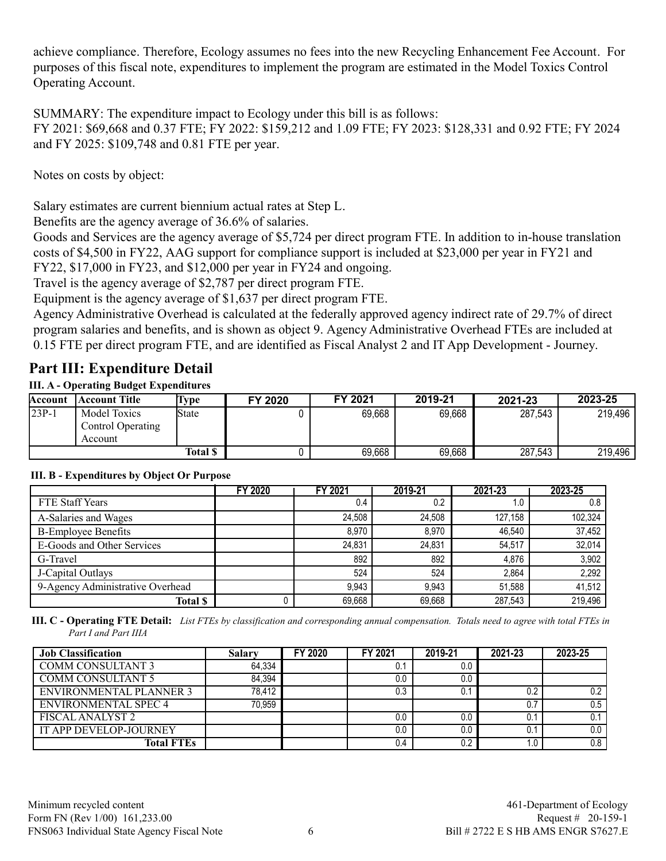achieve compliance. Therefore, Ecology assumes no fees into the new Recycling Enhancement Fee Account. For purposes of this fiscal note, expenditures to implement the program are estimated in the Model Toxics Control Operating Account.

SUMMARY: The expenditure impact to Ecology under this bill is as follows: FY 2021: \$69,668 and 0.37 FTE; FY 2022: \$159,212 and 1.09 FTE; FY 2023: \$128,331 and 0.92 FTE; FY 2024 and FY 2025: \$109,748 and 0.81 FTE per year.

Notes on costs by object:

Salary estimates are current biennium actual rates at Step L.

Benefits are the agency average of 36.6% of salaries.

Goods and Services are the agency average of \$5,724 per direct program FTE. In addition to in-house translation costs of \$4,500 in FY22, AAG support for compliance support is included at \$23,000 per year in FY21 and FY22, \$17,000 in FY23, and \$12,000 per year in FY24 and ongoing.

Travel is the agency average of \$2,787 per direct program FTE.

Equipment is the agency average of \$1,637 per direct program FTE.

Agency Administrative Overhead is calculated at the federally approved agency indirect rate of 29.7% of direct program salaries and benefits, and is shown as object 9. Agency Administrative Overhead FTEs are included at 0.15 FTE per direct program FTE, and are identified as Fiscal Analyst 2 and IT App Development - Journey.

# **Part III: Expenditure Detail**

## **III. A - Operating Budget Expenditures**

| Account | <b>Account Title</b>                                | ype      | FY 2020 | FY 2021 | 2019-21 | 2021-23 | 2023-25 |
|---------|-----------------------------------------------------|----------|---------|---------|---------|---------|---------|
| $23P-1$ | <b>Model Toxics</b><br>Control Operating<br>Account | State    |         | 69,668  | 69,668  | 287,543 | 219,496 |
|         |                                                     | Total \$ |         | 69,668  | 69,668  | 287,543 | 219,496 |

## **III. B - Expenditures by Object Or Purpose**

|                                  | <b>FY 2020</b> | FY 2021 | 2019-21 | 2021-23 | 2023-25 |
|----------------------------------|----------------|---------|---------|---------|---------|
| FTE Staff Years                  |                | 0.4     | 0.2     | 1.0     | 0.8     |
| A-Salaries and Wages             |                | 24.508  | 24.508  | 127.158 | 102,324 |
| <b>B-Employee Benefits</b>       |                | 8.970   | 8.970   | 46.540  | 37,452  |
| E-Goods and Other Services       |                | 24,831  | 24,831  | 54,517  | 32,014  |
| G-Travel                         |                | 892     | 892     | 4.876   | 3,902   |
| J-Capital Outlays                |                | 524     | 524     | 2.864   | 2,292   |
| 9-Agency Administrative Overhead |                | 9.943   | 9.943   | 51.588  | 41,512  |
| <b>Total \$</b>                  |                | 69,668  | 69,668  | 287,543 | 219,496 |

**III. C - Operating FTE Detail:** *List FTEs by classification and corresponding annual compensation. Totals need to agree with total FTEs in Part I and Part IIIA*

| <b>Job Classification</b>      | Salarv | FY 2020 | FY 2021 | 2019-21 | 2021-23 | 2023-25 |
|--------------------------------|--------|---------|---------|---------|---------|---------|
| <b>COMM CONSULTANT 3</b>       | 64,334 |         | 0.1     | 0.0     |         |         |
| <b>COMM CONSULTANT 5</b>       | 84.394 |         | 0.0     | 0.0     |         |         |
| <b>ENVIRONMENTAL PLANNER 3</b> | 78.412 |         | 0.3     | 0.1     | 0.2     | 0.2     |
| ENVIRONMENTAL SPEC 4           | 70.959 |         |         |         |         | 0.5     |
| <b>FISCAL ANALYST 2</b>        |        |         | 0.0     | 0.0     | U.      | 0.1     |
| IT APP DEVELOP-JOURNEY         |        |         | 0.0     | 0.0     |         | $0.0\,$ |
| <b>Total FTEs</b>              |        |         | 0.4     | 0.2     |         | 0.8     |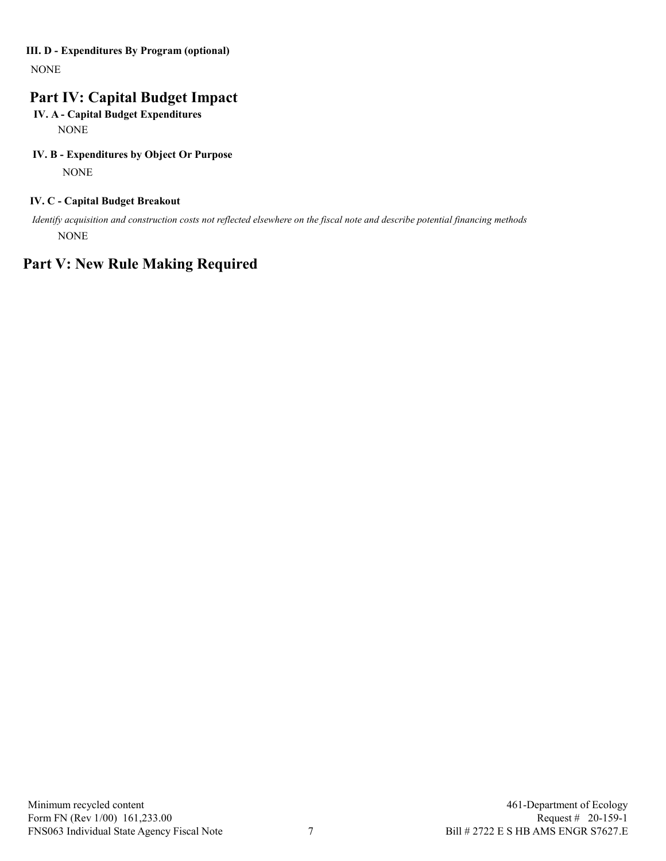#### **III. D - Expenditures By Program (optional)**

NONE

# **Part IV: Capital Budget Impact**

#### **IV. A - Capital Budget Expenditures NONE**

#### **IV. B - Expenditures by Object Or Purpose**

NONE

#### **IV. C - Capital Budget Breakout**

 *Identify acquisition and construction costs not reflected elsewhere on the fiscal note and describe potential financing methods* NONE

# **Part V: New Rule Making Required**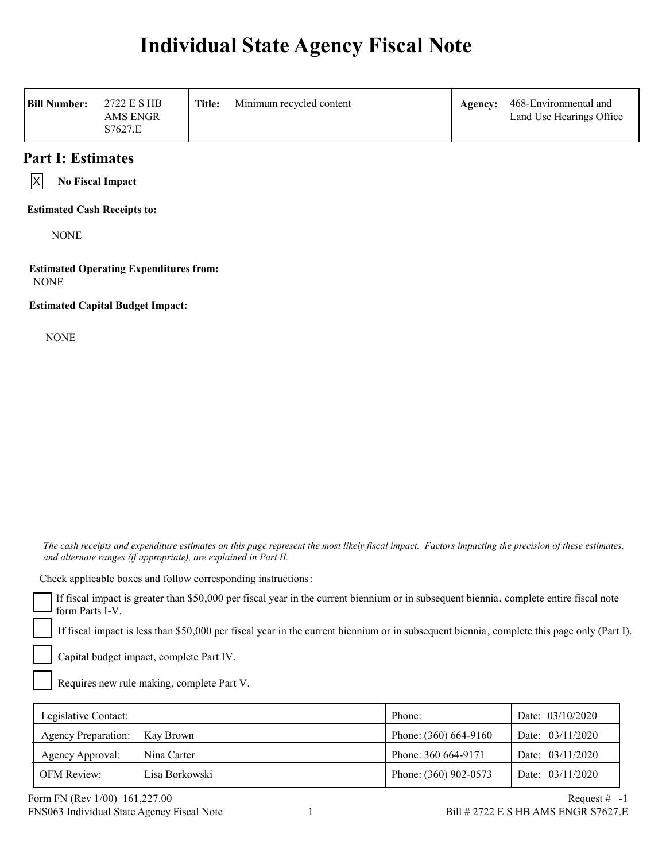# **Individual State Agency Fiscal Note**

| <b>Bill Number:</b><br>2722 E S HB<br><b>AMS ENGR</b><br>S7627.E | Title:<br>Minimum recycled content | Agency: | 468-Environmental and<br>Land Use Hearings Office |
|------------------------------------------------------------------|------------------------------------|---------|---------------------------------------------------|
|------------------------------------------------------------------|------------------------------------|---------|---------------------------------------------------|

## **Part I: Estimates**

 $\vert x \vert$ 

**No Fiscal Impact**

**Estimated Cash Receipts to:**

**NONE** 

**Estimated Operating Expenditures from:** NONE

**Estimated Capital Budget Impact:**

NONE

 *The cash receipts and expenditure estimates on this page represent the most likely fiscal impact. Factors impacting the precision of these estimates, and alternate ranges (if appropriate), are explained in Part II.* 

Check applicable boxes and follow corresponding instructions:

If fiscal impact is greater than \$50,000 per fiscal year in the current biennium or in subsequent biennia, complete entire fiscal note form Parts I-V.

If fiscal impact is less than \$50,000 per fiscal year in the current biennium or in subsequent biennia, complete this page only (Part I).

Capital budget impact, complete Part IV.

Requires new rule making, complete Part V.

| Legislative Contact:          |                | Phone:                | Date: $03/10/2020$ |
|-------------------------------|----------------|-----------------------|--------------------|
| Agency Preparation: Kay Brown |                | Phone: (360) 664-9160 | Date: 03/11/2020   |
| Agency Approval:              | Nina Carter    | Phone: 360 664-9171   | Date: $03/11/2020$ |
| <b>OFM Review:</b>            | Lisa Borkowski | Phone: (360) 902-0573 | Date: $03/11/2020$ |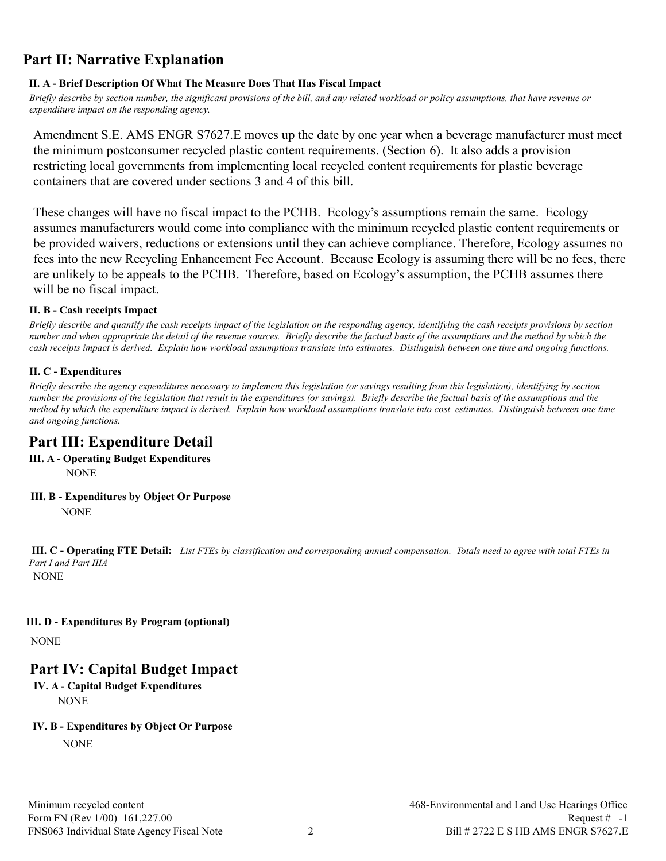# **Part II: Narrative Explanation**

## **II. A - Brief Description Of What The Measure Does That Has Fiscal Impact**

*Briefly describe by section number, the significant provisions of the bill, and any related workload or policy assumptions, that have revenue or expenditure impact on the responding agency.*

Amendment S.E. AMS ENGR S7627.E moves up the date by one year when a beverage manufacturer must meet the minimum postconsumer recycled plastic content requirements. (Section 6). It also adds a provision restricting local governments from implementing local recycled content requirements for plastic beverage containers that are covered under sections 3 and 4 of this bill.

These changes will have no fiscal impact to the PCHB. Ecology's assumptions remain the same. Ecology assumes manufacturers would come into compliance with the minimum recycled plastic content requirements or be provided waivers, reductions or extensions until they can achieve compliance. Therefore, Ecology assumes no fees into the new Recycling Enhancement Fee Account. Because Ecology is assuming there will be no fees, there are unlikely to be appeals to the PCHB. Therefore, based on Ecology's assumption, the PCHB assumes there will be no fiscal impact.

## **II. B - Cash receipts Impact**

*Briefly describe and quantify the cash receipts impact of the legislation on the responding agency, identifying the cash receipts provisions by section number and when appropriate the detail of the revenue sources. Briefly describe the factual basis of the assumptions and the method by which the cash receipts impact is derived. Explain how workload assumptions translate into estimates. Distinguish between one time and ongoing functions.*

## **II. C - Expenditures**

*Briefly describe the agency expenditures necessary to implement this legislation (or savings resulting from this legislation), identifying by section number the provisions of the legislation that result in the expenditures (or savings). Briefly describe the factual basis of the assumptions and the method by which the expenditure impact is derived. Explain how workload assumptions translate into cost estimates. Distinguish between one time and ongoing functions.*

# **Part III: Expenditure Detail**

- **III. A Operating Budget Expenditures** NONE
- **III. B Expenditures by Object Or Purpose NONE**

*Part I and Part IIIA* **III. C - Operating FTE Detail:** *List FTEs by classification and corresponding annual compensation. Totals need to agree with total FTEs in*  NONE

## **III. D - Expenditures By Program (optional)**

NONE

# **Part IV: Capital Budget Impact**

**IV. A - Capital Budget Expenditures NONE** 

## **IV. B - Expenditures by Object Or Purpose**

**NONE**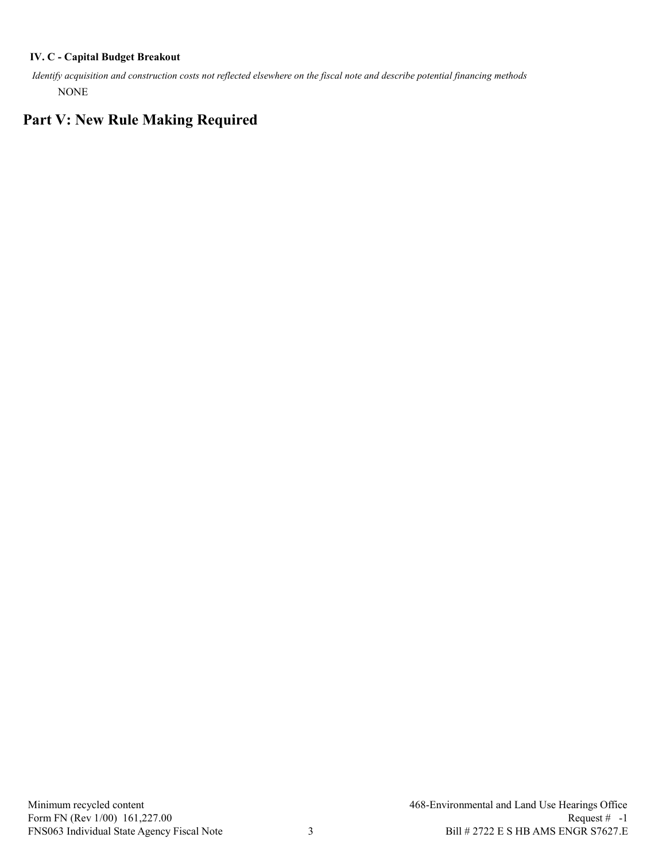#### **IV. C - Capital Budget Breakout**

 *Identify acquisition and construction costs not reflected elsewhere on the fiscal note and describe potential financing methods* NONE

# **Part V: New Rule Making Required**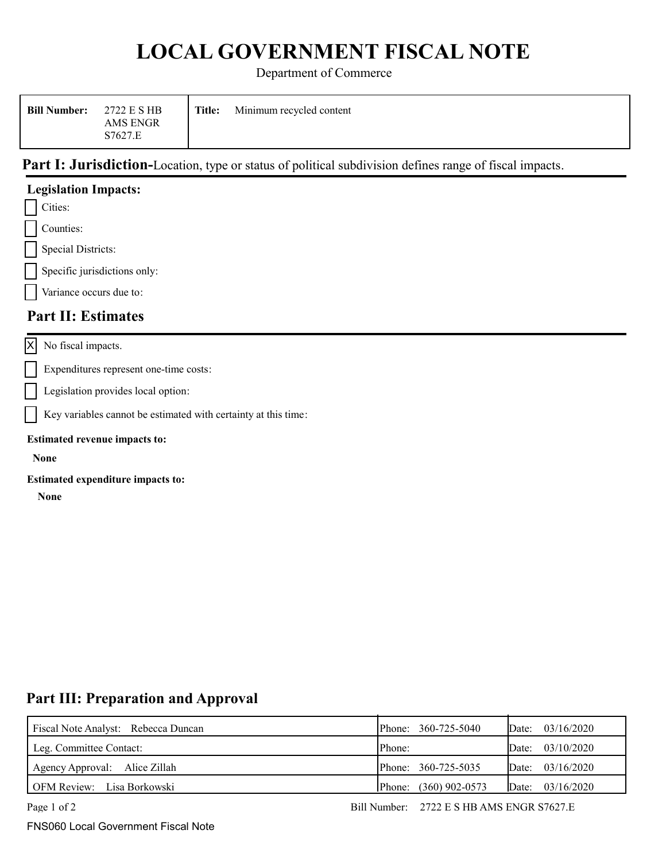# **LOCAL GOVERNMENT FISCAL NOTE**

Department of Commerce

| 2722 E S HB<br><b>Bill Number:</b><br>AMS ENGR<br>S7627.E | Title: | Minimum recycled content |
|-----------------------------------------------------------|--------|--------------------------|
|-----------------------------------------------------------|--------|--------------------------|

# Part I: Jurisdiction-Location, type or status of political subdivision defines range of fiscal impacts.

| Cities:                                                        |
|----------------------------------------------------------------|
| Counties:                                                      |
| <b>Special Districts:</b>                                      |
| Specific jurisdictions only:                                   |
| Variance occurs due to:                                        |
| <b>Part II: Estimates</b>                                      |
| No fiscal impacts.                                             |
| Expenditures represent one-time costs:                         |
| Legislation provides local option:                             |
| Key variables cannot be estimated with certainty at this time: |
| <b>Estimated revenue impacts to:</b>                           |
| <b>None</b>                                                    |
| Estimated expenditure impacts to:<br><b>None</b>               |
|                                                                |

## **Part III: Preparation and Approval**

| Fiscal Note Analyst: Rebecca Duncan | Phone: 360-725-5040        | Date: $03/16/2020$ |
|-------------------------------------|----------------------------|--------------------|
| Leg. Committee Contact:             | Phone:                     | Date: $03/10/2020$ |
| Agency Approval: Alice Zillah       | Phone: 360-725-5035        | Date: $03/16/2020$ |
| OFM Review: Lisa Borkowski          | $(360)$ 902-0573<br>Phone: | Date: $03/16/2020$ |

**Legislation Impacts:**

FNS060 Local Government Fiscal Note